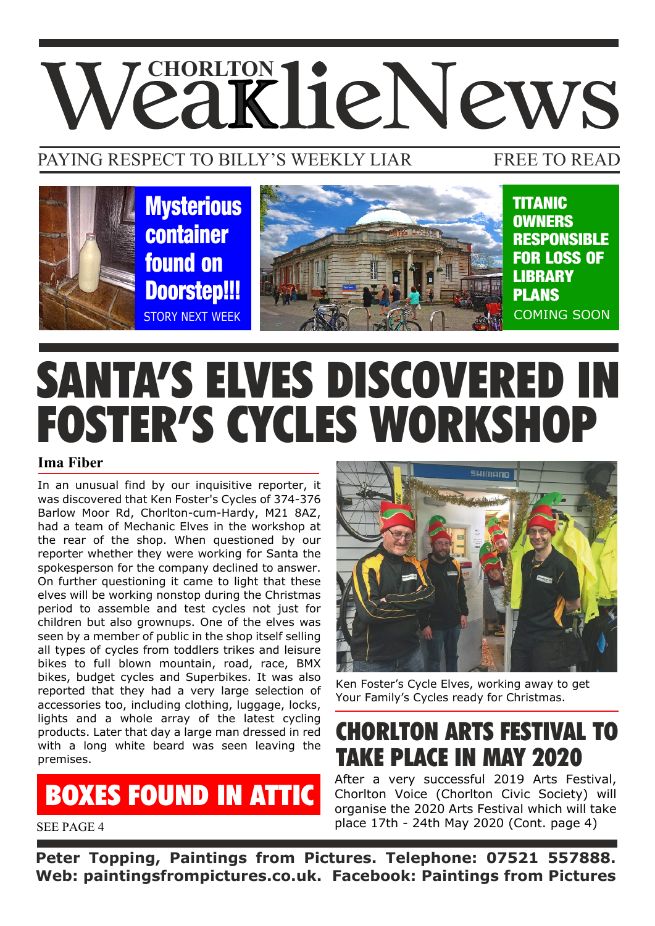# **VeaklieNews**

#### PAYING RESPECT TO BILLY'S WEEKLY LIAR

#### FREE TO READ



## SANTA'S ELVES DISCOVERED IN FOSTER'S CYCLES WORKSHOP

#### **Ima Fiber**

In an unusual find by our inquisitive reporter, it was discovered that Ken Foster's Cycles of 374-376 Barlow Moor Rd, Chorlton-cum-Hardy, M21 8AZ, had a team of Mechanic Elves in the workshop at the rear of the shop. When questioned by our reporter whether they were working for Santa the spokesperson for the company declined to answer. On further questioning it came to light that these elves will be working nonstop during the Christmas period to assemble and test cycles not just for children but also grownups. One of the elves was seen by a member of public in the shop itself selling all types of cycles from toddlers trikes and leisure bikes to full blown mountain, road, race, BMX bikes, budget cycles and Superbikes. It was also reported that they had a very large selection of accessories too, including clothing, luggage, locks, lights and a whole array of the latest cycling products. Later that day a large man dressed in red with a long white beard was seen leaving the premises.

BOXES FOUND IN ATTIC



Ken Foster's Cycle Elves, working away to get Your Family's Cycles ready for Christmas.

CHORLTON ARTS FESTIVAL TO TAKE PLACE IN MAY 2020

After a very successful 2019 Arts Festival, Chorlton Voice (Chorlton Civic Society) will organise the 2020 Arts Festival which will take place 17th - 24th May 2020 (Cont. page 4)

SEE PAGE 4

**Peter Topping, Paintings from Pictures. Telephone: 07521 557888. Web: paintingsfrompictures.co.uk. Facebook: Paintings from Pictures**